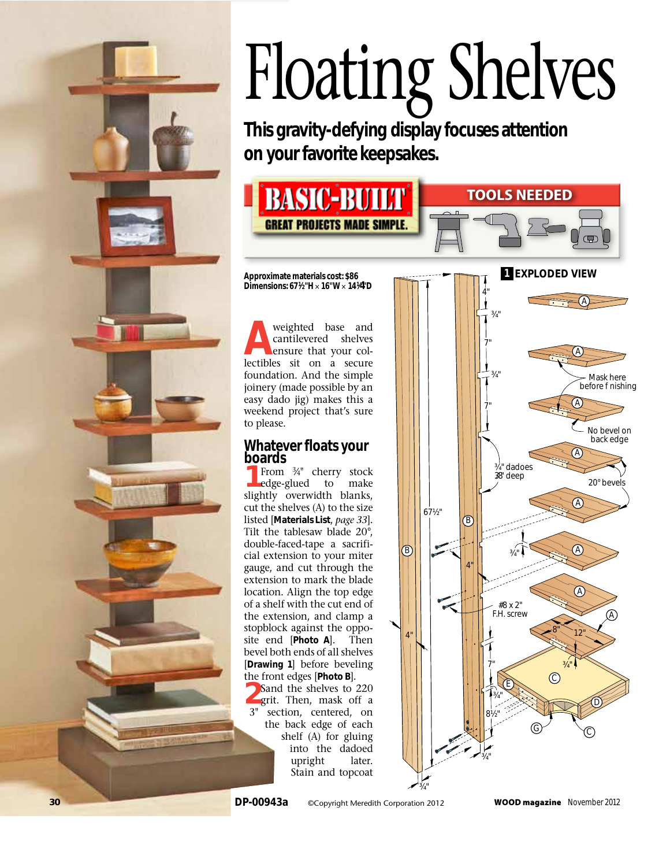

# Floating Shelves

**This gravity-defying display focuses attention on your favorite keepsakes.**



**Approximate materials cost: \$86 Dimensions: 67 1⁄2"H**  × **16" W** × **141⁄4" D**

**A**weighted base and cantilevered shelves ensure that your col lectibles sit on a secure foundation. And the simple joinery (made possible by an easy dado jig) makes this a weekend project that's sure to please.

## **Whatever floats your boards**

From  $\frac{3}{4}$ " cherry stock edge-glued to make slightly overwidth blanks, cut the shelves (A) to the size listed [**Materials List**, *page 33*]. Tilt the tablesaw blade 20°, double-faced-tape a sacrifi cial extension to your miter gauge, and cut through the extension to mark the blade location. Align the top edge of a shelf with the cut end of the extension, and clamp a stopblock against the oppo site end [**Photo A**]. Then bevel both ends of all shelves [**Drawing 1**] before beveling the front edges [**Photo B**].<br> **2Sand the shelves to 220** grit. Then, mask off a 3" section, centered, on

the back edge of each shelf (A) for gluing into the dadoed upright later. Stain and topcoat

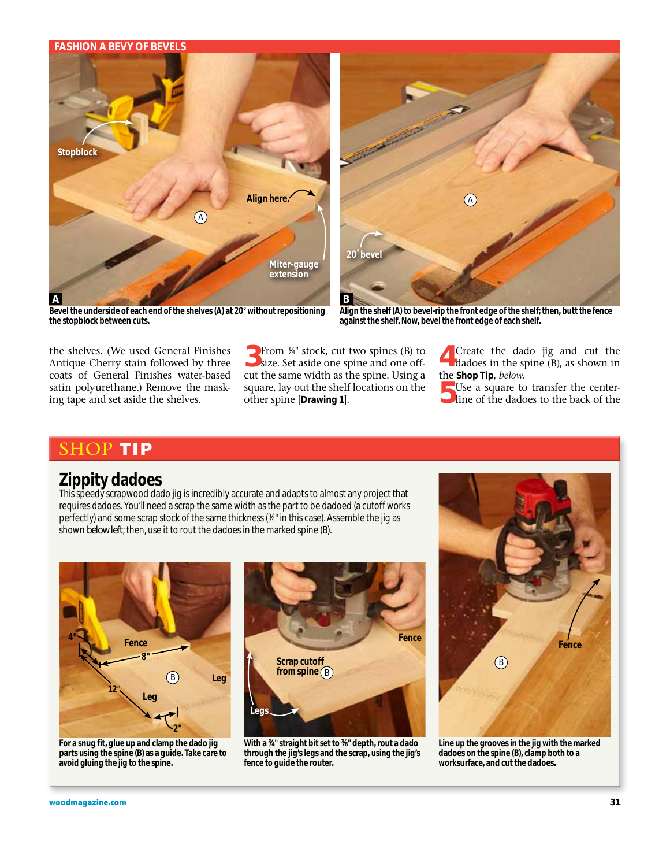### **Fashion a bevy of bevels**



**Bevel the underside of each end of the shelves (A) at 20° without repositioning the stopblock between cuts.**

A **20˚ bevel**

**Align the shelf (A) to bevel-rip the front edge of the shelf; then, butt the fence against the shelf. Now, bevel the front edge of each shelf.**

the shelves. (We used General Finishes Antique Cherry stain followed by three coats of General Finishes water-based satin polyurethane.) Remove the masking tape and set aside the shelves.

3From 3⁄4" stock, cut two spines (B) to size. Set aside one spine and one offcut the same width as the spine. Using a square, lay out the shelf locations on the other spine [**Drawing 1**].

4Create the dado jig and cut the dadoes in the spine (B), as shown in

the **Shop Tip**, *below*. 5Use a square to transfer the center-line of the dadoes to the back of the

# **TIP**

# **Zippity dadoes**

This speedy scrapwood dado jig is incredibly accurate and adapts to almost any project that requires dadoes. You'll need a scrap the same width as the part to be dadoed (a cutoff works perfectly) and some scrap stock of the same thickness (¾" in this case). Assemble the jig as shown *below left*; then, use it to rout the dadoes in the marked spine (B).



**For a snug fit, glue up and clamp the dado jig parts using the spine (B) as a guide. Take care to avoid gluing the jig to the spine.**



**With a 3⁄4" straight bit set to 3⁄8" depth, rout a dado through the jig's legs and the scrap, using the jig's fence to guide the router.**



**Line up the grooves in the jig with the marked dadoes on the spine (B), clamp both to a worksurface, and cut the dadoes.**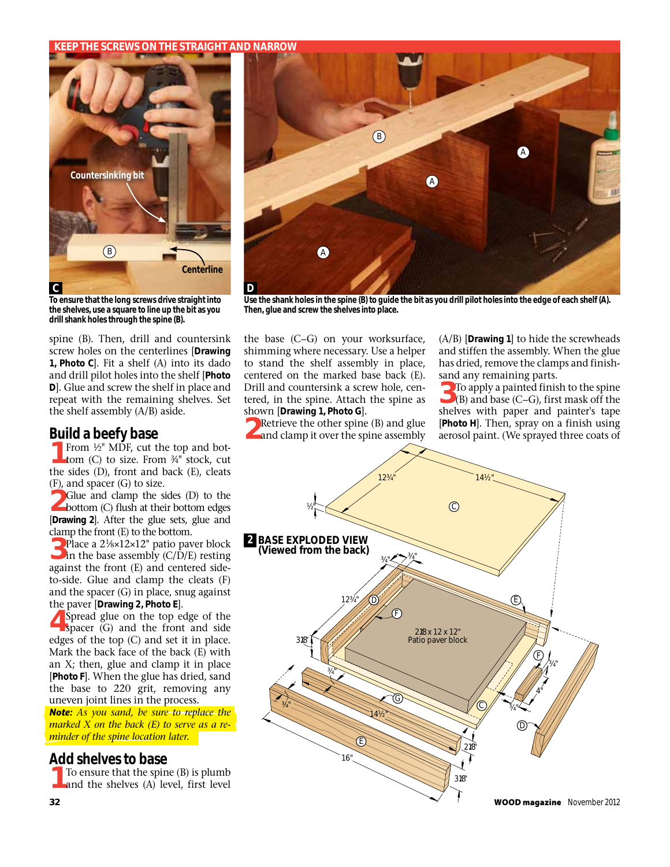### **Keep the screws on the straight and narrow**



**To ensure that the long screws drive straight into the shelves, use a square to line up the bit as you drill shank holes through the spine (B).**

spine (B). Then, drill and countersink screw holes on the centerlines [**Drawing 1, Photo C**]. Fit a shelf (A) into its dado and drill pilot holes into the shelf [**Photo D**]. Glue and screw the shelf in place and repeat with the remaining shelves. Set the shelf assembly (A/B) aside.

### **Build a beefy base**

From  $1/2$ " MDF, cut the top and bottom (C) to size. From 3⁄4" stock, cut the sides (D), front and back (E), cleats (F), and spacer (G) to size.

2Glue and clamp the sides (D) to the bottom (C) flush at their bottom edges [**Drawing 2**]. After the glue sets, glue and clamp the front (E) to the bottom.

**3** Place a 2<sup>1</sup>/8×12×12" patio paver block in the base assembly (C/D/E) resting against the front (E) and centered sideto-side. Glue and clamp the cleats (F) and the spacer (G) in place, snug against the paver [**Drawing 2, Photo E**].

Spread glue on the top edge of the spacer (G) and the front and side edges of the top (C) and set it in place. Mark the back face of the back (E) with an X; then, glue and clamp it in place [**Photo F**]. When the glue has dried, sand the base to 220 grit, removing any uneven joint lines in the process.

*Note: As you sand, be sure to replace the marked X on the back (E) to serve as a reminder of the spine location later.*

### **Add shelves to base**

To ensure that the spine (B) is plumb and the shelves  $(A)$  level, first level



**Use the shank holes in the spine (B) to guide the bit as you drill pilot holes into the edge of each shelf (A). Then, glue and screw the shelves into place.**

the base (C–G) on your worksurface, shimming where necessary. Use a helper to stand the shelf assembly in place, centered on the marked base back (E). Drill and countersink a screw hole, centered, in the spine. Attach the spine as shown [**Drawing 1, Photo G**].

**1** Retrieve the other spine (B) and glue and clamp it over the spine assembly

(A/B) [**Drawing 1**] to hide the screwheads and stiffen the assembly. When the glue has dried, remove the clamps and finishsand any remaining parts.

<sup>2</sup>To apply a painted finish to the spine (B) and base (C–G), first mask off the shelves with paper and painter's tape [**Photo H**]. Then, spray on a finish using aerosol paint. (We sprayed three coats of